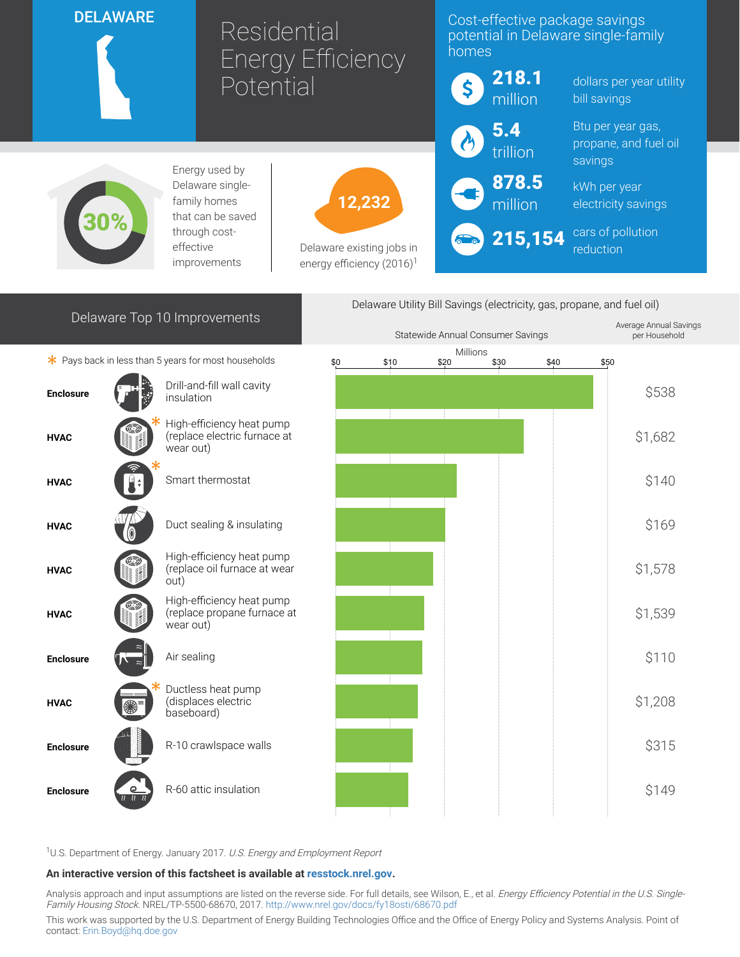| <b>DELAWARE</b>                                                         |  |                                                                        | Residential<br><b>Energy Efficiency</b><br>Potential               |        | Cost-effective package savings<br>potential in Delaware single-family<br>homes |                        |                                                       |                                          |                                     |         |
|-------------------------------------------------------------------------|--|------------------------------------------------------------------------|--------------------------------------------------------------------|--------|--------------------------------------------------------------------------------|------------------------|-------------------------------------------------------|------------------------------------------|-------------------------------------|---------|
|                                                                         |  |                                                                        |                                                                    |        |                                                                                | 218.1<br>\$<br>million |                                                       | dollars per year utility<br>bill savings |                                     |         |
|                                                                         |  |                                                                        |                                                                    |        | 5.4<br>trillion                                                                |                        | Btu per year gas,<br>propane, and fuel oil<br>savings |                                          |                                     |         |
| Energy used by<br>Delaware single-<br>family homes<br>that can be saved |  |                                                                        |                                                                    | 12,232 |                                                                                |                        | 878.5<br>million                                      |                                          | kWh per year<br>electricity savings |         |
|                                                                         |  | through cost-<br>effective<br>improvements                             | Delaware existing jobs in<br>energy efficiency (2016) <sup>1</sup> |        |                                                                                | 215,154                |                                                       | cars of pollution<br>reduction           |                                     |         |
| Delaware Utility Bill Savings (electricity, gas, propane, and fuel oil) |  |                                                                        |                                                                    |        |                                                                                |                        |                                                       |                                          |                                     |         |
| Delaware Top 10 Improvements                                            |  |                                                                        |                                                                    |        | Statewide Annual Consumer Savings                                              |                        |                                                       | Average Annual Savings<br>per Household  |                                     |         |
|                                                                         |  | * Pays back in less than 5 years for most households                   | \$0                                                                |        | \$10                                                                           | Millions<br>\$20       | \$30                                                  | \$40                                     | \$50                                |         |
| <b>Enclosure</b>                                                        |  | Drill-and-fill wall cavity<br>insulation                               |                                                                    |        |                                                                                |                        |                                                       |                                          |                                     | \$538   |
| <b>HVAC</b>                                                             |  | High-efficiency heat pump<br>(replace electric furnace at<br>wear out) |                                                                    |        |                                                                                |                        |                                                       |                                          |                                     | \$1,682 |
| <b>HVAC</b>                                                             |  | Smart thermostat                                                       |                                                                    |        |                                                                                |                        |                                                       |                                          |                                     | \$140   |
| <b>HVAC</b>                                                             |  | Duct sealing & insulating                                              |                                                                    |        |                                                                                |                        |                                                       |                                          |                                     | \$169   |
| <b>HVAC</b>                                                             |  | High-efficiency heat pump<br>(replace oil furnace at wear<br>out)      |                                                                    |        |                                                                                |                        |                                                       |                                          |                                     | \$1,578 |
| <b>HVAC</b>                                                             |  | High-efficiency heat pump<br>(replace propane furnace at<br>wear out)  |                                                                    |        |                                                                                |                        |                                                       |                                          |                                     | \$1,539 |
| <b>Enclosure</b>                                                        |  | Air sealing                                                            |                                                                    |        |                                                                                |                        |                                                       |                                          |                                     | \$110   |
| <b>HVAC</b>                                                             |  | Ductless heat pump<br>(displaces electric<br>baseboard)                |                                                                    |        |                                                                                |                        |                                                       |                                          |                                     | \$1,208 |
| <b>Enclosure</b>                                                        |  | R-10 crawlspace walls                                                  |                                                                    |        |                                                                                |                        |                                                       |                                          |                                     | \$315   |
| <b>Enclosure</b>                                                        |  | R-60 attic insulation                                                  |                                                                    |        |                                                                                |                        |                                                       |                                          |                                     | \$149   |

<sup>1</sup>U.S. Department of Energy. January 2017. U.S. Energy and Employment Report

## An interactive version of this factsheet is available at [resstock.nrel.gov.](https://resstock.nrel.gov/)

Analysis approach and input assumptions are listed on the reverse side. For full details, see Wilson, E., et al. *Energy Efficiency Potential in the U.S. Single*-Family Housing Stock. NREL/TP-5500-68670, 2017. <http://www.nrel.gov/docs/fy18osti/68670.pdf>

This work was supported by the U.S. Department of Energy Building Technologies Office and the Office of Energy Policy and Systems Analysis. Point of contact: [Erin.Boyd@hq.doe.gov](mailto:Erin.Boyd@hq.doe.gov)